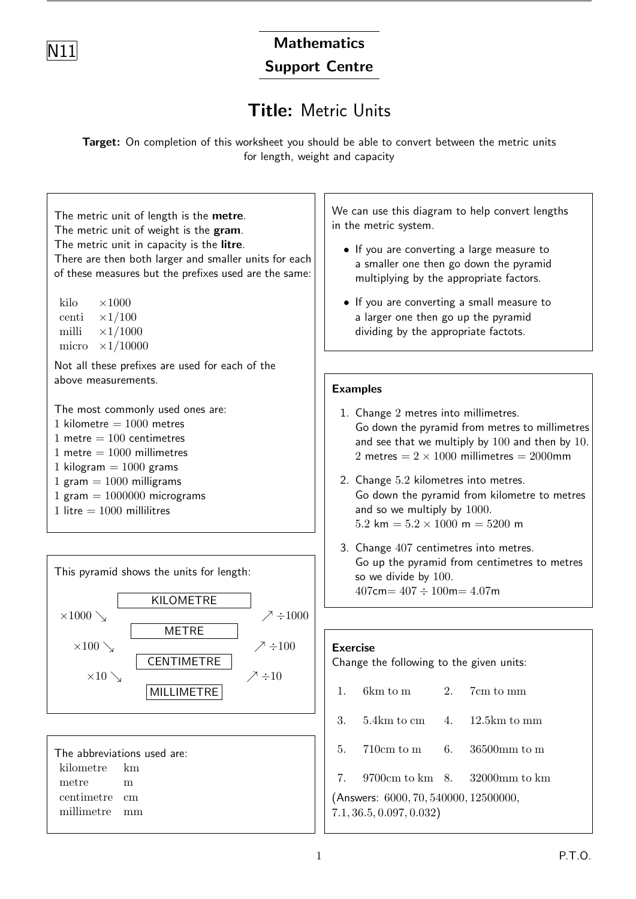

# **Mathematics**

### Support Centre

## Title: Metric Units

Target: On completion of this worksheet you should be able to convert between the metric units for length, weight and capacity

The metric unit of length is the metre. The metric unit of weight is the gram. The metric unit in capacity is the litre. There are then both larger and smaller units for each of these measures but the prefixes used are the same: kilo  $\times1000$ centi  $\times 1/100$ milli  $\times 1/1000$ micro  $\times 1/10000$ Not all these prefixes are used for each of the above measurements. The most commonly used ones are: 1 kilometre  $= 1000$  metres 1 metre  $= 100$  centimetres 1 metre  $= 1000$  millimetres 1 kilogram  $= 1000$  grams 1 gram  $= 1000$  milligrams 1 gram  $= 1000000$  micrograms

1 litre  $= 1000$  millilitres



We can use this diagram to help convert lengths in the metric system.

- If you are converting a large measure to a smaller one then go down the pyramid multiplying by the appropriate factors.
- If you are converting a small measure to a larger one then go up the pyramid dividing by the appropriate factots.

#### Examples

- 1. Change 2 metres into millimetres. Go down the pyramid from metres to millimetres and see that we multiply by 100 and then by 10. 2 metres  $= 2 \times 1000$  millimetres  $= 2000$ mm
- 2. Change 5.2 kilometres into metres. Go down the pyramid from kilometre to metres and so we multiply by 1000.  $5.2 \text{ km} = 5.2 \times 1000 \text{ m} = 5200 \text{ m}$
- 3. Change 407 centimetres into metres. Go up the pyramid from centimetres to metres so we divide by 100.  $407 \text{cm} = 407 \div 100 \text{m} = 4.07 \text{m}$

#### Exercise

Change the following to the given units:

- 1. 6km to m 2. 7cm to mm
- 3. 5.4km to cm 4. 12.5km to mm
- 5. 710cm to m 6. 36500mm to m
- 7. 9700cm to km 8. 32000mm to km

(Answers: 6000, 70, 540000, 12500000, 7.1, 36.5, 0.097, 0.032)